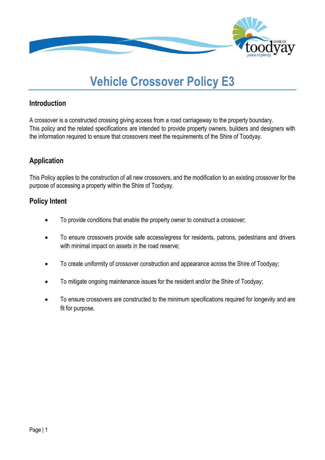

# **Vehicle Crossover Policy E3**

# **Introduction**

A crossover is a constructed crossing giving access from a road carriageway to the property boundary. This policy and the related specifications are intended to provide property owners, builders and designers with the information required to ensure that crossovers meet the requirements of the Shire of Toodyay.

# **Application**

This Policy applies to the construction of all new crossovers, and the modification to an existing crossover for the purpose of accessing a property within the Shire of Toodyay.

# **Policy Intent**

- To provide conditions that enable the property owner to construct a crossover;
- To ensure crossovers provide safe access/egress for residents, patrons, pedestrians and drivers with minimal impact on assets in the road reserve;
- To create uniformity of crossover construction and appearance across the Shire of Toodyay;
- To mitigate ongoing maintenance issues for the resident and/or the Shire of Toodyay;
- To ensure crossovers are constructed to the minimum specifications required for longevity and are fit for purpose.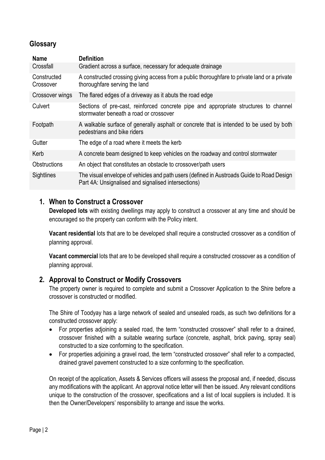# **Glossary**

| <b>Name</b>              | <b>Definition</b>                                                                                                                                |  |  |
|--------------------------|--------------------------------------------------------------------------------------------------------------------------------------------------|--|--|
| Crossfall                | Gradient across a surface, necessary for adequate drainage                                                                                       |  |  |
| Constructed<br>Crossover | A constructed crossing giving access from a public thoroughfare to private land or a private<br>thoroughfare serving the land                    |  |  |
| Crossover wings          | The flared edges of a driveway as it abuts the road edge                                                                                         |  |  |
| Culvert                  | Sections of pre-cast, reinforced concrete pipe and appropriate structures to channel<br>stormwater beneath a road or crossover                   |  |  |
| Footpath                 | A walkable surface of generally asphalt or concrete that is intended to be used by both<br>pedestrians and bike riders                           |  |  |
| Gutter                   | The edge of a road where it meets the kerb                                                                                                       |  |  |
| Kerb                     | A concrete beam designed to keep vehicles on the roadway and control stormwater                                                                  |  |  |
| <b>Obstructions</b>      | An object that constitutes an obstacle to crossover/path users                                                                                   |  |  |
| Sightlines               | The visual envelope of vehicles and path users (defined in Austroads Guide to Road Design<br>Part 4A: Unsignalised and signalised intersections) |  |  |

# **1. When to Construct a Crossover**

**Developed lots** with existing dwellings may apply to construct a crossover at any time and should be encouraged so the property can conform with the Policy intent.

**Vacant residential** lots that are to be developed shall require a constructed crossover as a condition of planning approval.

**Vacant commercial** lots that are to be developed shall require a constructed crossover as a condition of planning approval.

#### **2. Approval to Construct or Modify Crossovers**

The property owner is required to complete and submit a Crossover Application to the Shire before a crossover is constructed or modified.

The Shire of Toodyay has a large network of sealed and unsealed roads, as such two definitions for a constructed crossover apply:

- For properties adjoining a sealed road, the term "constructed crossover" shall refer to a drained, crossover finished with a suitable wearing surface (concrete, asphalt, brick paving, spray seal) constructed to a size conforming to the specification.
- For properties adjoining a gravel road, the term "constructed crossover" shall refer to a compacted, drained gravel pavement constructed to a size conforming to the specification.

On receipt of the application, Assets & Services officers will assess the proposal and, if needed, discuss any modifications with the applicant. An approval notice letter will then be issued. Any relevant conditions unique to the construction of the crossover, specifications and a list of local suppliers is included. It is then the Owner/Developers' responsibility to arrange and issue the works.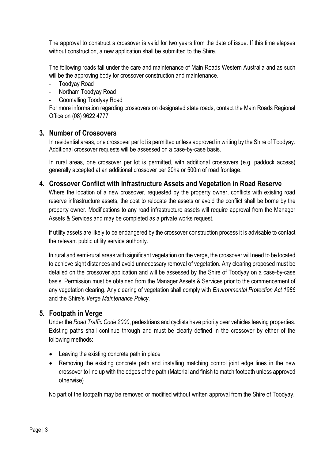The approval to construct a crossover is valid for two years from the date of issue. If this time elapses without construction, a new application shall be submitted to the Shire.

The following roads fall under the care and maintenance of Main Roads Western Australia and as such will be the approving body for crossover construction and maintenance.

- Toodyay Road
- Northam Toodyay Road
- Goomalling Toodyay Road

For more information regarding crossovers on designated state roads, contact the Main Roads Regional Office on (08) 9622 4777

# **3. Number of Crossovers**

In residential areas, one crossover per lot is permitted unless approved in writing by the Shire of Toodyay. Additional crossover requests will be assessed on a case-by-case basis.

In rural areas, one crossover per lot is permitted, with additional crossovers (e.g. paddock access) generally accepted at an additional crossover per 20ha or 500m of road frontage.

# **4. Crossover Conflict with Infrastructure Assets and Vegetation in Road Reserve**

Where the location of a new crossover, requested by the property owner, conflicts with existing road reserve infrastructure assets, the cost to relocate the assets or avoid the conflict shall be borne by the property owner. Modifications to any road infrastructure assets will require approval from the Manager Assets & Services and may be completed as a private works request.

If utility assets are likely to be endangered by the crossover construction process it is advisable to contact the relevant public utility service authority.

In rural and semi-rural areas with significant vegetation on the verge, the crossover will need to be located to achieve sight distances and avoid unnecessary removal of vegetation. Any clearing proposed must be detailed on the crossover application and will be assessed by the Shire of Toodyay on a case-by-case basis. Permission must be obtained from the Manager Assets & Services prior to the commencement of any vegetation clearing. Any clearing of vegetation shall comply with *Environmental Protection Act 1986* and the Shire's *Verge Maintenance Policy.*

#### **5. Footpath in Verge**

Under the *Road Traffic Code 2000*, pedestrians and cyclists have priority over vehicles leaving properties. Existing paths shall continue through and must be clearly defined in the crossover by either of the following methods:

- Leaving the existing concrete path in place
- Removing the existing concrete path and installing matching control joint edge lines in the new crossover to line up with the edges of the path (Material and finish to match footpath unless approved otherwise)

No part of the footpath may be removed or modified without written approval from the Shire of Toodyay.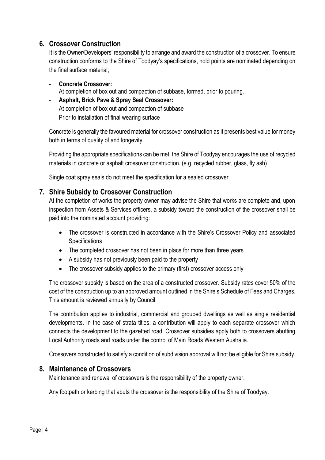# **6. Crossover Construction**

It is the Owner/Developers' responsibility to arrange and award the construction of a crossover. To ensure construction conforms to the Shire of Toodyay's specifications, hold points are nominated depending on the final surface material;

- **Concrete Crossover:**  At completion of box out and compaction of subbase, formed, prior to pouring.
- **Asphalt, Brick Pave & Spray Seal Crossover:**  At completion of box out and compaction of subbase Prior to installation of final wearing surface

Concrete is generally the favoured material for crossover construction as it presents best value for money both in terms of quality of and longevity.

Providing the appropriate specifications can be met, the Shire of Toodyay encourages the use of recycled materials in concrete or asphalt crossover construction. (e.g. recycled rubber, glass, fly ash)

Single coat spray seals do not meet the specification for a sealed crossover.

# **7. Shire Subsidy to Crossover Construction**

At the completion of works the property owner may advise the Shire that works are complete and, upon inspection from Assets & Services officers, a subsidy toward the construction of the crossover shall be paid into the nominated account providing:

- The crossover is constructed in accordance with the Shire's Crossover Policy and associated **Specifications**
- The completed crossover has not been in place for more than three years
- A subsidy has not previously been paid to the property
- The crossover subsidy applies to the primary (first) crossover access only

The crossover subsidy is based on the area of a constructed crossover. Subsidy rates cover 50% of the cost of the construction up to an approved amount outlined in the Shire's Schedule of Fees and Charges. This amount is reviewed annually by Council.

The contribution applies to industrial, commercial and grouped dwellings as well as single residential developments. In the case of strata titles, a contribution will apply to each separate crossover which connects the development to the gazetted road. Crossover subsidies apply both to crossovers abutting Local Authority roads and roads under the control of Main Roads Western Australia.

Crossovers constructed to satisfy a condition of subdivision approval will not be eligible for Shire subsidy.

# **8. Maintenance of Crossovers**

Maintenance and renewal of crossovers is the responsibility of the property owner.

Any footpath or kerbing that abuts the crossover is the responsibility of the Shire of Toodyay.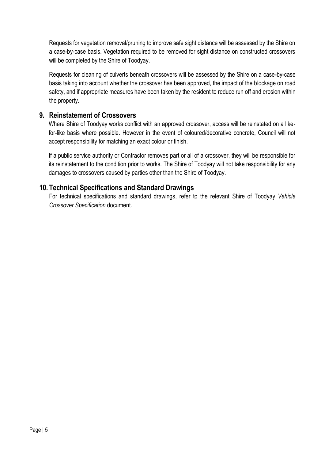Requests for vegetation removal/pruning to improve safe sight distance will be assessed by the Shire on a case-by-case basis. Vegetation required to be removed for sight distance on constructed crossovers will be completed by the Shire of Toodyay.

Requests for cleaning of culverts beneath crossovers will be assessed by the Shire on a case-by-case basis taking into account whether the crossover has been approved, the impact of the blockage on road safety, and if appropriate measures have been taken by the resident to reduce run off and erosion within the property.

# **9. Reinstatement of Crossovers**

Where Shire of Toodyay works conflict with an approved crossover, access will be reinstated on a likefor-like basis where possible. However in the event of coloured/decorative concrete, Council will not accept responsibility for matching an exact colour or finish.

If a public service authority or Contractor removes part or all of a crossover, they will be responsible for its reinstatement to the condition prior to works. The Shire of Toodyay will not take responsibility for any damages to crossovers caused by parties other than the Shire of Toodyay.

# **10. Technical Specifications and Standard Drawings**

For technical specifications and standard drawings, refer to the relevant Shire of Toodyay *Vehicle Crossover Specification* document.